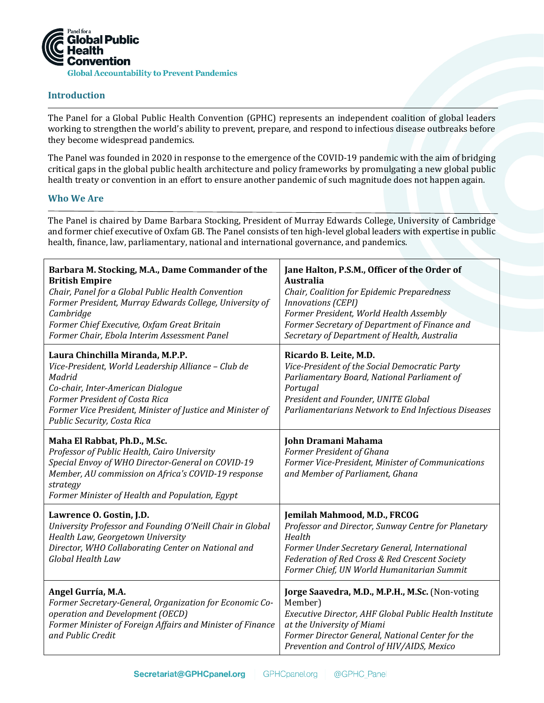

# **Introduction**

The Panel for a Global Public Health Convention (GPHC) represents an independent coalition of global leaders working to strengthen the world's ability to prevent, prepare, and respond to infectious disease outbreaks before they become widespread pandemics.

The Panel was founded in 2020 in response to the emergence of the COVID-19 pandemic with the aim of bridging critical gaps in the global public health architecture and policy frameworks by promulgating a new global public health treaty or convention in an effort to ensure another pandemic of such magnitude does not happen again.

### **Who We Are**

The Panel is chaired by Dame Barbara Stocking, President of Murray Edwards College, University of Cambridge and former chief executive of Oxfam GB. The Panel consists of ten high-level global leaders with expertise in public health, finance, law, parliamentary, national and international governance, and pandemics.

| Barbara M. Stocking, M.A., Dame Commander of the<br><b>British Empire</b><br>Chair, Panel for a Global Public Health Convention<br>Former President, Murray Edwards College, University of<br>Cambridge<br>Former Chief Executive, Oxfam Great Britain<br>Former Chair, Ebola Interim Assessment Panel | Jane Halton, P.S.M., Officer of the Order of<br><b>Australia</b><br>Chair, Coalition for Epidemic Preparedness<br><b>Innovations (CEPI)</b><br>Former President, World Health Assembly<br>Former Secretary of Department of Finance and<br>Secretary of Department of Health, Australia |
|--------------------------------------------------------------------------------------------------------------------------------------------------------------------------------------------------------------------------------------------------------------------------------------------------------|-----------------------------------------------------------------------------------------------------------------------------------------------------------------------------------------------------------------------------------------------------------------------------------------|
| Laura Chinchilla Miranda, M.P.P.<br>Vice-President, World Leadership Alliance - Club de<br>Madrid<br>Co-chair, Inter-American Dialogue<br>Former President of Costa Rica<br>Former Vice President, Minister of Justice and Minister of<br>Public Security, Costa Rica                                  | Ricardo B. Leite, M.D.<br>Vice-President of the Social Democratic Party<br>Parliamentary Board, National Parliament of<br>Portugal<br>President and Founder, UNITE Global<br>Parliamentarians Network to End Infectious Diseases                                                        |
| Maha El Rabbat, Ph.D., M.Sc.<br>Professor of Public Health, Cairo University<br>Special Envoy of WHO Director-General on COVID-19<br>Member, AU commission on Africa's COVID-19 response<br>strategy<br>Former Minister of Health and Population, Egypt                                                | John Dramani Mahama<br>Former President of Ghana<br>Former Vice-President, Minister of Communications<br>and Member of Parliament, Ghana                                                                                                                                                |
| Lawrence O. Gostin, J.D.<br>University Professor and Founding O'Neill Chair in Global<br>Health Law, Georgetown University<br>Director, WHO Collaborating Center on National and<br>Global Health Law                                                                                                  | Jemilah Mahmood, M.D., FRCOG<br>Professor and Director, Sunway Centre for Planetary<br>Health<br>Former Under Secretary General, International<br>Federation of Red Cross & Red Crescent Society<br>Former Chief, UN World Humanitarian Summit                                          |
| Angel Gurría, M.A.<br>Former Secretary-General, Organization for Economic Co-<br>operation and Development (OECD)<br>Former Minister of Foreign Affairs and Minister of Finance<br>and Public Credit                                                                                                   | Jorge Saavedra, M.D., M.P.H., M.Sc. (Non-voting<br>Member)<br>Executive Director, AHF Global Public Health Institute<br>at the University of Miami<br>Former Director General, National Center for the<br>Prevention and Control of HIV/AIDS, Mexico                                    |